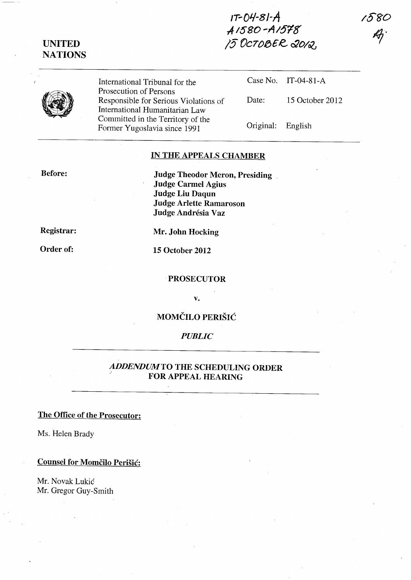**IT-OJ./-8/-A .,41580 -.AI6'18' /5** *VC70/3£e &0/06* 

**UNITED NATIONS** 

International Tribunal for the Prosecution of Persons Responsible for Serious Violations of International Humanitarian Law Committed in the Territory of the Former Yugoslavia since 1991

Case No. IT-04-81-A Date: 15 October 2012 Original: English

### **IN THE APPEALS CHAMBER**

**Before:** 

**Judge Theodor Meron, Presiding** . **Judge Carmel Agius Judge Liu Daqun Judge Arlette Ramaroson Judge Andresia Vaz** 

**Registrar:** 

**Order of:** 

**Mr. John Hocking** 

**15 October 2012** 

#### **PROSECUTOR**

**v.** 

# **MOMCILO PERISIC**

### *PUBLIC*

### *ADDENDUMTO* **THE SCHEDULING ORDER**  ) **FOR APPEAL HEARING**

## **The Office of the Prosecutor:**

Ms. Helen Brady

## **Counsel for Momčilo Perišić:**

Mr. Novak Lukic Mr. Gregor Guy-Smith **/5'8'0**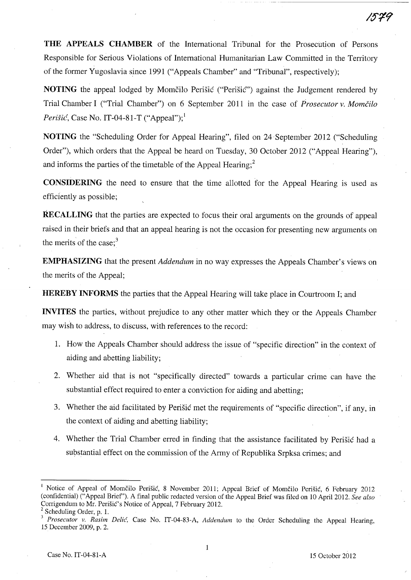**THE APPEALS CHAMBER** of the International Tribunal for the Prosecution of Persons Responsible for Serious Violations of International Humanitarian Law Committed in the Territory of the former Yugoslavia since 1991 ("Appeals Chamber" and "Tribunal", respectively);

**NOTING** the appeal lodged by Momčilo Perišić ("Perišić") against the Judgement rendered by Trial Chamber I ("Trial Chamber") on 6 September 2011 in the case of *Prosecutor v. Momcilo Perišić*, Case No. IT-04-81-T ("Appeal");<sup>1</sup>

**NOTING** the "Scheduling Order for Appeal Hearing", filed on 24 September 2012 ("Scheduling Order"), which orders that the Appeal be heard on Tuesday, 30 October 2012 ("Appeal Hearing"), and informs the parties of the timetable of the Appeal Hearing; $<sup>2</sup>$ </sup>

**CONSIDERING** the need to ensure that the time allotted for the Appeal Hearing is used as efficiently as possible;

**RECALLING** that the parties are expected to focus their oral arguments on the grounds of appeal raised in their briefs and that an appeal hearing is not the occasion for presenting new arguments on the merits of the case; $3$ 

**EMPHASIZING** that the present *Addendum* in no way expresses the Appeals Chamber's views on the merits of the Appeal;

**HEREBY INFORMS** the parties that the Appeal Hearing will take place in Courtroom I; and

**INVITES** the parties, without prejudice to any other matter which they or the Appeals Chamber may wish to address, to discuss, with references to the record:

- 1. How the Appeals Chamber should address the issue of "specific direction" in the context of aiding and abetting liability;
- 2. Whether aid that is not "specifically directed" towards a particular crime can have the substantial effect required to enter a conviction for aiding and abetting;
- 3. Whether the aid facilitated by Perišić met the requirements of "specific direction", if any, in the context of aiding and abetting liability;
- 4. Whether the Trial Chamber erred in finding that the assistance facilitated by Perišić had a substantial effect on the commission of the Army of Republika Srpksa crimes; and

 $\mathbf{1}$ 

Notice of Appeal of Momčilo Perišić, 8 November 2011; Appeal Brief of Momčilo Perišić, 6 February 2012 (confidential) ("Appeal Brief'). A final public redacted version of the Appeal Brief was filed on 10 April 2012. *See also*  Corrigendum to Mr. Perisic's Notice of Appeal, 7 February 2012.

 $2$  Scheduling Order, p. 1.

*<sup>3</sup> Prosecutor* v. *Rasim Delic,* Case No. IT-04-83-A, *Addendum* to the Order Scheduling the Appeal Hearing, 15 December 2009, p. 2.